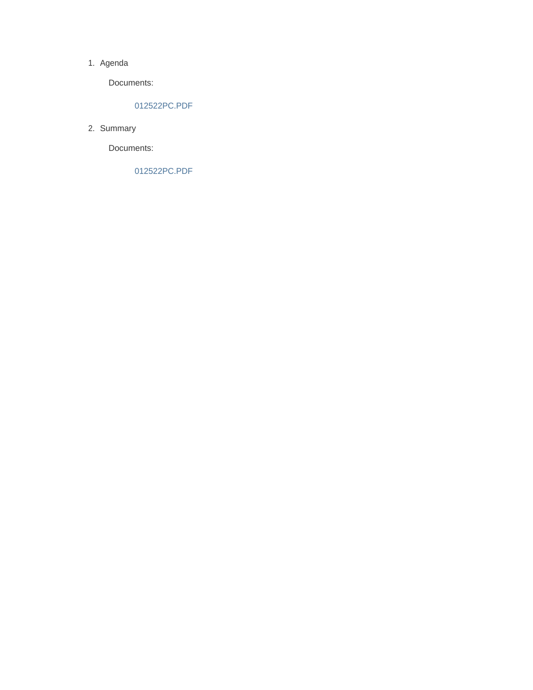#### 1. Agenda

Documents:

#### 012522PC.PDF

2. Summary

Documents:

012522PC.PDF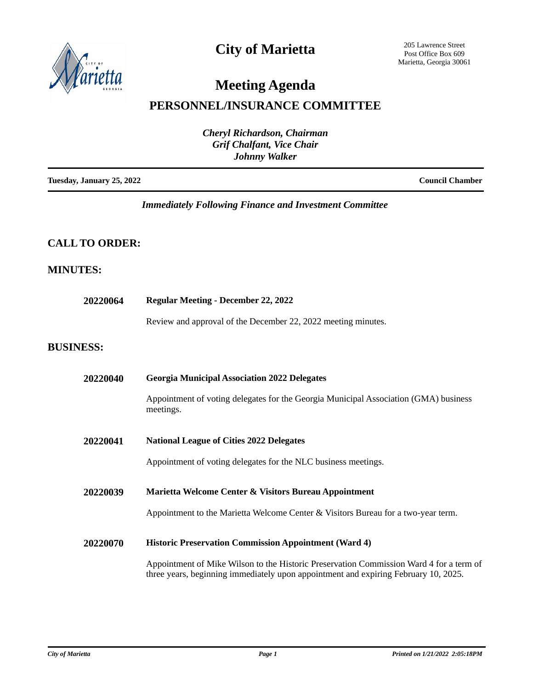

# **City of Marietta**

205 Lawrence Street Post Office Box 609 Marietta, Georgia 30061

# **Meeting Agenda**

## **PERSONNEL/INSURANCE COMMITTEE**

| <b>Cheryl Richardson, Chairman</b><br><b>Grif Chalfant, Vice Chair</b><br><b>Johnny Walker</b> |                        |  |
|------------------------------------------------------------------------------------------------|------------------------|--|
| Tuesday, January 25, 2022                                                                      | <b>Council Chamber</b> |  |

## *Immediately Following Finance and Investment Committee*

### **CALL TO ORDER:**

### **MINUTES:**

| 20220064         | <b>Regular Meeting - December 22, 2022</b>                                                                                                                                     |  |
|------------------|--------------------------------------------------------------------------------------------------------------------------------------------------------------------------------|--|
|                  | Review and approval of the December 22, 2022 meeting minutes.                                                                                                                  |  |
| <b>BUSINESS:</b> |                                                                                                                                                                                |  |
| 20220040         | <b>Georgia Municipal Association 2022 Delegates</b>                                                                                                                            |  |
|                  | Appointment of voting delegates for the Georgia Municipal Association (GMA) business<br>meetings.                                                                              |  |
| 20220041         | <b>National League of Cities 2022 Delegates</b>                                                                                                                                |  |
|                  | Appointment of voting delegates for the NLC business meetings.                                                                                                                 |  |
| 20220039         | Marietta Welcome Center & Visitors Bureau Appointment                                                                                                                          |  |
|                  | Appointment to the Marietta Welcome Center & Visitors Bureau for a two-year term.                                                                                              |  |
| 20220070         | <b>Historic Preservation Commission Appointment (Ward 4)</b>                                                                                                                   |  |
|                  | Appointment of Mike Wilson to the Historic Preservation Commission Ward 4 for a term of<br>three years, beginning immediately upon appointment and expiring February 10, 2025. |  |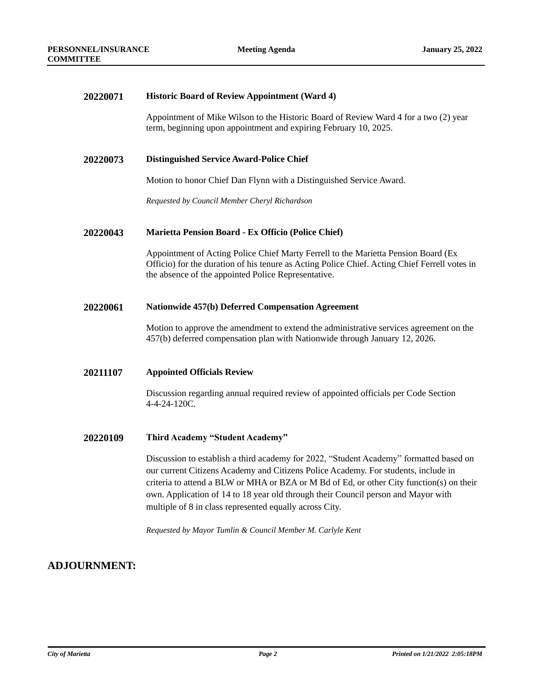#### **20220071 Historic Board of Review Appointment (Ward 4)**

Appointment of Mike Wilson to the Historic Board of Review Ward 4 for a two (2) year term, beginning upon appointment and expiring February 10, 2025.

#### **20220073 Distinguished Service Award-Police Chief**

Motion to honor Chief Dan Flynn with a Distinguished Service Award.

*Requested by Council Member Cheryl Richardson*

#### **20220043 Marietta Pension Board - Ex Officio (Police Chief)**

Appointment of Acting Police Chief Marty Ferrell to the Marietta Pension Board (Ex Officio) for the duration of his tenure as Acting Police Chief. Acting Chief Ferrell votes in the absence of the appointed Police Representative.

#### **20220061 Nationwide 457(b) Deferred Compensation Agreement**

Motion to approve the amendment to extend the administrative services agreement on the 457(b) deferred compensation plan with Nationwide through January 12, 2026.

#### **20211107 Appointed Officials Review**

Discussion regarding annual required review of appointed officials per Code Section 4-4-24-120C.

#### **20220109 Third Academy "Student Academy"**

Discussion to establish a third academy for 2022, "Student Academy" formatted based on our current Citizens Academy and Citizens Police Academy. For students, include in criteria to attend a BLW or MHA or BZA or M Bd of Ed, or other City function(s) on their own. Application of 14 to 18 year old through their Council person and Mayor with multiple of 8 in class represented equally across City.

*Requested by Mayor Tumlin & Council Member M. Carlyle Kent* 

### **ADJOURNMENT:**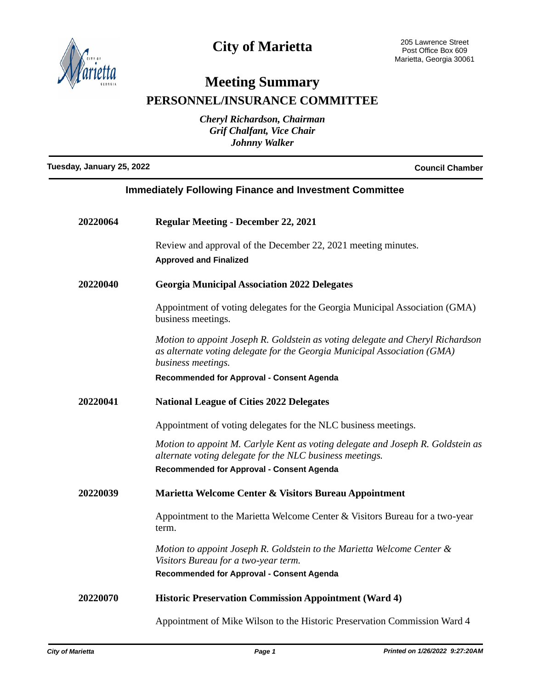

# **City of Marietta**

# **Meeting Summary**

**PERSONNEL/INSURANCE COMMITTEE**

*Cheryl Richardson, Chairman Grif Chalfant, Vice Chair Johnny Walker*

**Tuesday, January 25, 2022 Council Chamber**

| <b>Immediately Following Finance and Investment Committee</b> |                                                                                                                                                                                          |  |
|---------------------------------------------------------------|------------------------------------------------------------------------------------------------------------------------------------------------------------------------------------------|--|
| <b>20220064</b>                                               | <b>Regular Meeting - December 22, 2021</b>                                                                                                                                               |  |
|                                                               | Review and approval of the December 22, 2021 meeting minutes.<br><b>Approved and Finalized</b>                                                                                           |  |
| <b>20220040</b>                                               | <b>Georgia Municipal Association 2022 Delegates</b>                                                                                                                                      |  |
|                                                               | Appointment of voting delegates for the Georgia Municipal Association (GMA)<br>business meetings.                                                                                        |  |
|                                                               | Motion to appoint Joseph R. Goldstein as voting delegate and Cheryl Richardson<br>as alternate voting delegate for the Georgia Municipal Association (GMA)<br>business meetings.         |  |
|                                                               | Recommended for Approval - Consent Agenda                                                                                                                                                |  |
| 20220041                                                      | <b>National League of Cities 2022 Delegates</b>                                                                                                                                          |  |
|                                                               | Appointment of voting delegates for the NLC business meetings.                                                                                                                           |  |
|                                                               | Motion to appoint M. Carlyle Kent as voting delegate and Joseph R. Goldstein as<br>alternate voting delegate for the NLC business meetings.<br>Recommended for Approval - Consent Agenda |  |
| <b>20220039</b>                                               | Marietta Welcome Center & Visitors Bureau Appointment                                                                                                                                    |  |
|                                                               | Appointment to the Marietta Welcome Center & Visitors Bureau for a two-year<br>term.                                                                                                     |  |
|                                                               | Motion to appoint Joseph R. Goldstein to the Marietta Welcome Center &<br>Visitors Bureau for a two-year term.                                                                           |  |
|                                                               | Recommended for Approval - Consent Agenda                                                                                                                                                |  |

**20220070 Historic Preservation Commission Appointment (Ward 4)**

Appointment of Mike Wilson to the Historic Preservation Commission Ward 4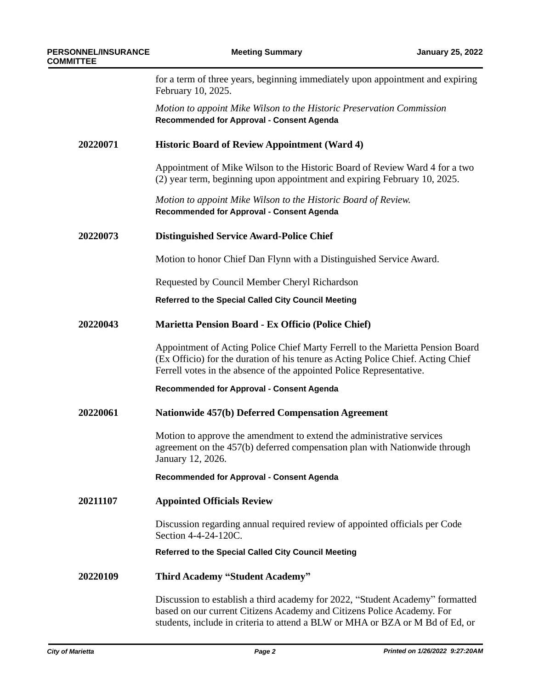for a term of three years, beginning immediately upon appointment and expiring February 10, 2025.

*Motion to appoint Mike Wilson to the Historic Preservation Commission* **Recommended for Approval - Consent Agenda**

#### **20220071 Historic Board of Review Appointment (Ward 4)**

Appointment of Mike Wilson to the Historic Board of Review Ward 4 for a two (2) year term, beginning upon appointment and expiring February 10, 2025.

*Motion to appoint Mike Wilson to the Historic Board of Review.* **Recommended for Approval - Consent Agenda**

#### **20220073 Distinguished Service Award-Police Chief**

Motion to honor Chief Dan Flynn with a Distinguished Service Award.

Requested by Council Member Cheryl Richardson

**Referred to the Special Called City Council Meeting**

#### **20220043 Marietta Pension Board - Ex Officio (Police Chief)**

Appointment of Acting Police Chief Marty Ferrell to the Marietta Pension Board (Ex Officio) for the duration of his tenure as Acting Police Chief. Acting Chief Ferrell votes in the absence of the appointed Police Representative.

**Recommended for Approval - Consent Agenda**

#### **20220061 Nationwide 457(b) Deferred Compensation Agreement**

Motion to approve the amendment to extend the administrative services agreement on the 457(b) deferred compensation plan with Nationwide through January 12, 2026.

**Recommended for Approval - Consent Agenda**

**20211107 Appointed Officials Review**

Discussion regarding annual required review of appointed officials per Code Section 4-4-24-120C.

**Referred to the Special Called City Council Meeting**

#### **20220109 Third Academy "Student Academy"**

Discussion to establish a third academy for 2022, "Student Academy" formatted based on our current Citizens Academy and Citizens Police Academy. For students, include in criteria to attend a BLW or MHA or BZA or M Bd of Ed, or